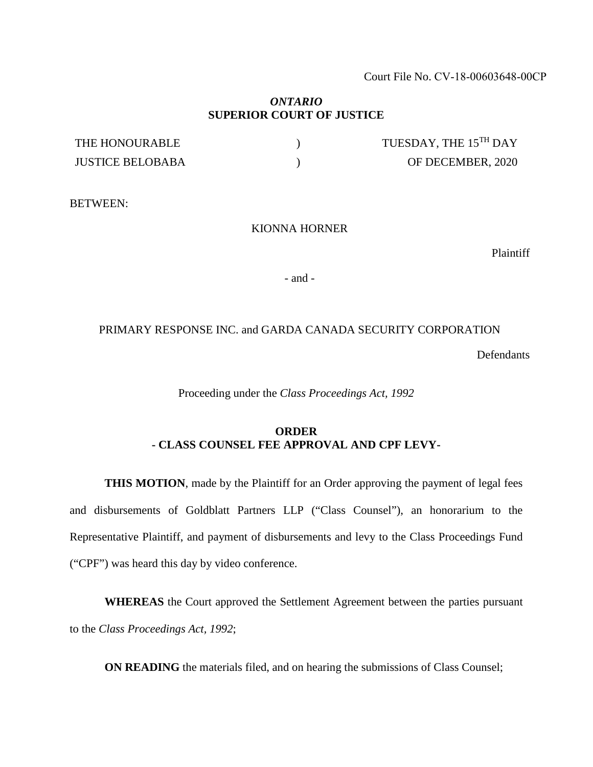Court File No. CV-18-00603648-00CP

## *ONTARIO* **SUPERIOR COURT OF JUSTICE**

| THE HONOURABLE          | TUESDAY, THE 15TH DAY |
|-------------------------|-----------------------|
| <b>JUSTICE BELOBABA</b> | OF DECEMBER, 2020     |

BETWEEN:

#### KIONNA HORNER

Plaintiff

- and -

### PRIMARY RESPONSE INC. and GARDA CANADA SECURITY CORPORATION

Defendants

Proceeding under the *Class Proceedings Act, 1992*

## **ORDER - CLASS COUNSEL FEE APPROVAL AND CPF LEVY-**

**THIS MOTION**, made by the Plaintiff for an Order approving the payment of legal fees and disbursements of Goldblatt Partners LLP ("Class Counsel"), an honorarium to the Representative Plaintiff, and payment of disbursements and levy to the Class Proceedings Fund ("CPF") was heard this day by video conference.

**WHEREAS** the Court approved the Settlement Agreement between the parties pursuant to the *Class Proceedings Act, 1992*;

**ON READING** the materials filed, and on hearing the submissions of Class Counsel;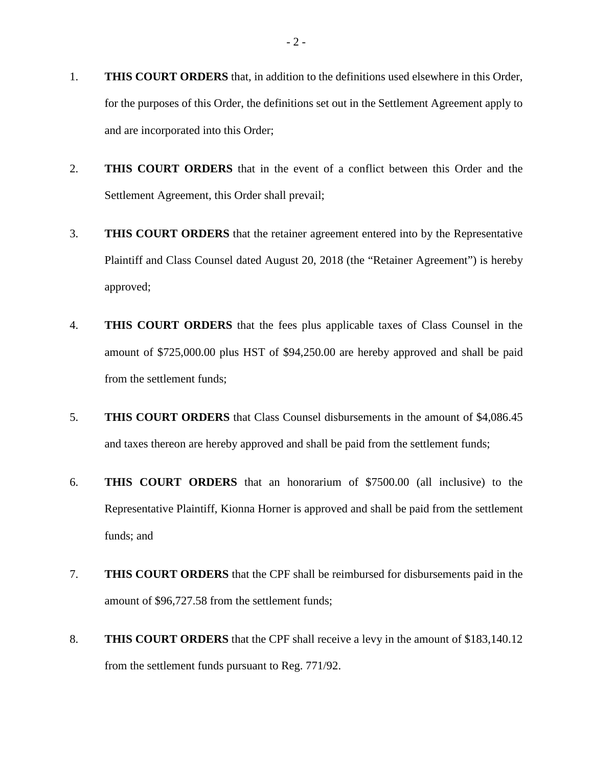- 1. **THIS COURT ORDERS** that, in addition to the definitions used elsewhere in this Order, for the purposes of this Order, the definitions set out in the Settlement Agreement apply to and are incorporated into this Order;
- 2. **THIS COURT ORDERS** that in the event of a conflict between this Order and the Settlement Agreement, this Order shall prevail;
- 3. **THIS COURT ORDERS** that the retainer agreement entered into by the Representative Plaintiff and Class Counsel dated August 20, 2018 (the "Retainer Agreement") is hereby approved;
- 4. **THIS COURT ORDERS** that the fees plus applicable taxes of Class Counsel in the amount of \$725,000.00 plus HST of \$94,250.00 are hereby approved and shall be paid from the settlement funds;
- 5. **THIS COURT ORDERS** that Class Counsel disbursements in the amount of \$4,086.45 and taxes thereon are hereby approved and shall be paid from the settlement funds;
- 6. **THIS COURT ORDERS** that an honorarium of \$7500.00 (all inclusive) to the Representative Plaintiff, Kionna Horner is approved and shall be paid from the settlement funds; and
- 7. **THIS COURT ORDERS** that the CPF shall be reimbursed for disbursements paid in the amount of \$96,727.58 from the settlement funds;
- 8. **THIS COURT ORDERS** that the CPF shall receive a levy in the amount of \$183,140.12 from the settlement funds pursuant to Reg. 771/92.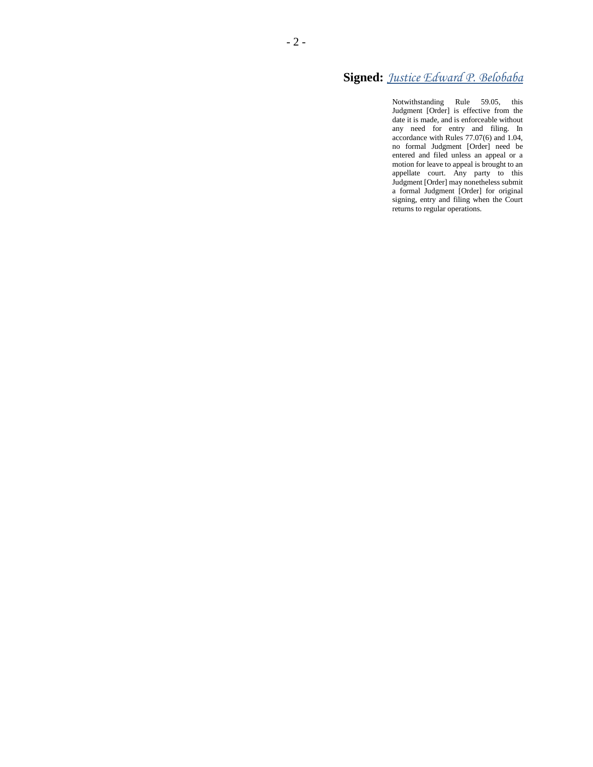# **Signed:** *Justice Edward P. Belobaba*

Notwithstanding Rule 59.05, this Judgment [Order] is effective from the date it is made, and is enforceable without any need for entry and filing. In accordance with Rules 77.07(6) and 1.04, no formal Judgment [Order] need be entered and filed unless an appeal or a motion for leave to appeal is brought to an appellate court. Any party to this Judgment [Order] may nonetheless submit a formal Judgment [Order] for original signing, entry and filing when the Court returns to regular operations.